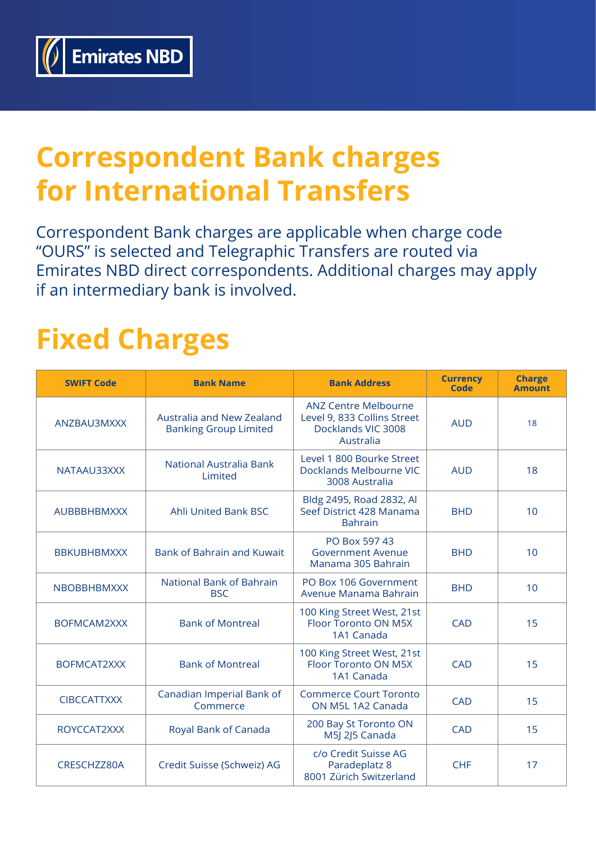

## **Correspondent Bank charges for International Transfers**

Correspondent Bank charges are applicable when charge code "OURS" is selected and Telegraphic Transfers are routed via Emirates NBD direct correspondents. Additional charges may apply if an intermediary bank is involved.

## **Fixed Charges**

| <b>SWIFT Code</b>  | <b>Bank Name</b>                                          | <b>Bank Address</b>                                                                           | <b>Currency</b><br>Code | <b>Charge</b><br><b>Amount</b> |
|--------------------|-----------------------------------------------------------|-----------------------------------------------------------------------------------------------|-------------------------|--------------------------------|
| ANZBAU3MXXX        | Australia and New Zealand<br><b>Banking Group Limited</b> | <b>ANZ Centre Melbourne</b><br>Level 9, 833 Collins Street<br>Docklands VIC 3008<br>Australia | <b>AUD</b>              | 18                             |
| NATAAU33XXX        | <b>National Australia Bank</b><br>Limited                 | Level 1 800 Bourke Street<br>Docklands Melbourne VIC<br>3008 Australia                        | <b>AUD</b>              | 18                             |
| <b>AUBBBHBMXXX</b> | <b>Ahli United Bank BSC</b>                               | Bldg 2495, Road 2832, Al<br>Seef District 428 Manama<br><b>Bahrain</b>                        | <b>BHD</b>              | 10                             |
| <b>BBKUBHBMXXX</b> | <b>Bank of Bahrain and Kuwait</b>                         | PO Box 597 43<br><b>Government Avenue</b><br>Manama 305 Bahrain                               | <b>BHD</b>              | 10                             |
| <b>NBOBBHBMXXX</b> | <b>National Bank of Bahrain</b><br><b>BSC</b>             | PO Box 106 Government<br>Avenue Manama Bahrain                                                | <b>BHD</b>              | 10                             |
| <b>BOFMCAM2XXX</b> | <b>Bank of Montreal</b>                                   | 100 King Street West, 21st<br><b>Floor Toronto ON M5X</b><br>1A1 Canada                       | <b>CAD</b>              | 15                             |
| BOFMCAT2XXX        | <b>Bank of Montreal</b>                                   | 100 King Street West, 21st<br><b>Floor Toronto ON M5X</b><br>1A1 Canada                       | <b>CAD</b>              | 15                             |
| <b>CIBCCATTXXX</b> | Canadian Imperial Bank of<br>Commerce                     | <b>Commerce Court Toronto</b><br>ON M5L 1A2 Canada                                            | <b>CAD</b>              | 15                             |
| ROYCCAT2XXX        | Royal Bank of Canada                                      | 200 Bay St Toronto ON<br>M5J 2J5 Canada                                                       | <b>CAD</b>              | 15                             |
| CRESCHZZ80A        | Credit Suisse (Schweiz) AG                                | c/o Credit Suisse AG<br>Paradeplatz 8<br>8001 Zürich Switzerland                              | <b>CHF</b>              | 17                             |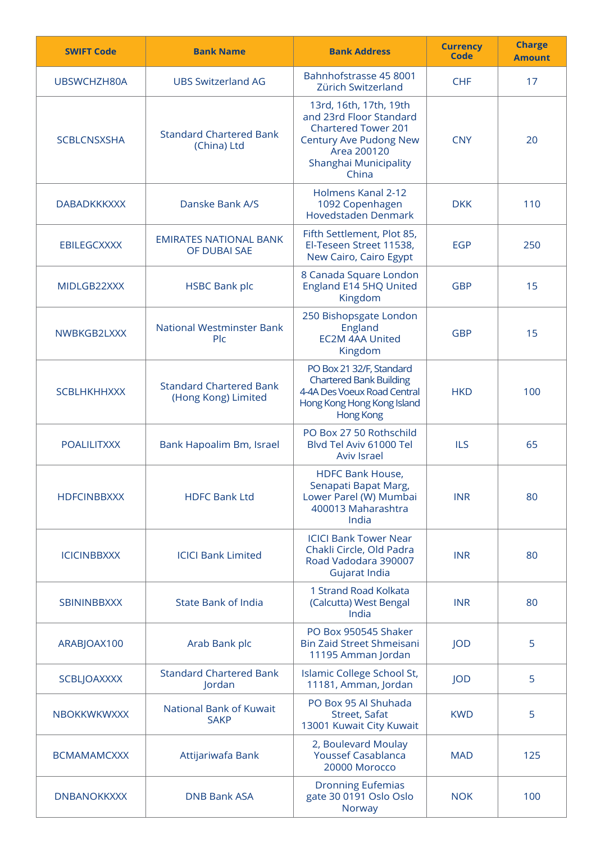| <b>SWIFT Code</b>                         | <b>Bank Name</b>                                      | <b>Bank Address</b>                                                                                                                                        | <b>Currency</b><br>Code | <b>Charge</b><br><b>Amount</b> |
|-------------------------------------------|-------------------------------------------------------|------------------------------------------------------------------------------------------------------------------------------------------------------------|-------------------------|--------------------------------|
| UBSWCHZH80A                               | <b>UBS Switzerland AG</b>                             | Bahnhofstrasse 45 8001<br>Zürich Switzerland                                                                                                               | <b>CHF</b>              | 17                             |
| <b>SCBLCNSXSHA</b>                        | <b>Standard Chartered Bank</b><br>(China) Ltd         | 13rd, 16th, 17th, 19th<br>and 23rd Floor Standard<br><b>Chartered Tower 201</b><br>Century Ave Pudong New<br>Area 200120<br>Shanghai Municipality<br>China | <b>CNY</b>              | 20                             |
| <b>DABADKKKXXX</b>                        | Danske Bank A/S                                       | Holmens Kanal 2-12<br>1092 Copenhagen<br><b>Hovedstaden Denmark</b>                                                                                        | <b>DKK</b>              | 110                            |
| <b>EBILEGCXXXX</b>                        | <b>EMIRATES NATIONAL BANK</b><br>OF DUBAI SAE         | Fifth Settlement, Plot 85,<br>El-Teseen Street 11538,<br>New Cairo, Cairo Egypt                                                                            | <b>EGP</b>              | 250                            |
| MIDLGB22XXX                               | <b>HSBC Bank plc</b>                                  | 8 Canada Square London<br>England E14 5HQ United<br>Kingdom                                                                                                | <b>GBP</b>              | 15                             |
| NWBKGB2LXXX                               | <b>National Westminster Bank</b><br><b>Plc</b>        | 250 Bishopsgate London<br>England<br><b>EC2M 4AA United</b><br>Kingdom                                                                                     | <b>GBP</b>              | 15                             |
| <b>SCBLHKHHXXX</b>                        | <b>Standard Chartered Bank</b><br>(Hong Kong) Limited | PO Box 21 32/F, Standard<br><b>Chartered Bank Building</b><br>4-4A Des Voeux Road Central<br>Hong Kong Hong Kong Island<br><b>Hong Kong</b>                | <b>HKD</b>              | 100                            |
| <b>POALILITXXX</b>                        | Bank Hapoalim Bm, Israel                              | PO Box 27 50 Rothschild<br>Blvd Tel Aviv 61000 Tel<br><b>Aviv Israel</b>                                                                                   | <b>ILS</b>              | 65                             |
| <b>HDFCINBBXXX</b>                        | <b>HDFC Bank Ltd</b>                                  | <b>HDFC Bank House,</b><br>Senapati Bapat Marg,<br>Lower Parel (W) Mumbai<br>400013 Maharashtra<br>India                                                   | <b>INR</b>              | 80                             |
| <b>ICICINBBXXX</b>                        | <b>ICICI Bank Limited</b>                             | <b>ICICI Bank Tower Near</b><br>Chakli Circle, Old Padra<br>Road Vadodara 390007<br>Gujarat India                                                          | <b>INR</b>              | 80                             |
| <b>SBININBBXXX</b>                        | <b>State Bank of India</b>                            | 1 Strand Road Kolkata<br>(Calcutta) West Bengal<br>India                                                                                                   | <b>INR</b>              | 80                             |
| ARABJOAX100                               | Arab Bank plc                                         | PO Box 950545 Shaker<br>Bin Zaid Street Shmeisani<br>11195 Amman Jordan                                                                                    | JOD                     | 5                              |
| <b>SCBLJOAXXXX</b>                        | <b>Standard Chartered Bank</b><br>Jordan              | Islamic College School St,<br>11181, Amman, Jordan                                                                                                         | JOD                     | 5                              |
| <b>NBOKKWKWXXX</b>                        | <b>National Bank of Kuwait</b><br><b>SAKP</b>         | PO Box 95 Al Shuhada<br>Street, Safat<br>13001 Kuwait City Kuwait                                                                                          | <b>KWD</b>              | 5                              |
| <b>BCMAMAMCXXX</b>                        | Attijariwafa Bank                                     | 2, Boulevard Moulay<br><b>Youssef Casablanca</b><br>20000 Morocco                                                                                          | <b>MAD</b>              | 125                            |
| <b>DNB Bank ASA</b><br><b>DNBANOKKXXX</b> |                                                       | <b>Dronning Eufemias</b><br>gate 30 0191 Oslo Oslo<br>Norway                                                                                               | <b>NOK</b>              | 100                            |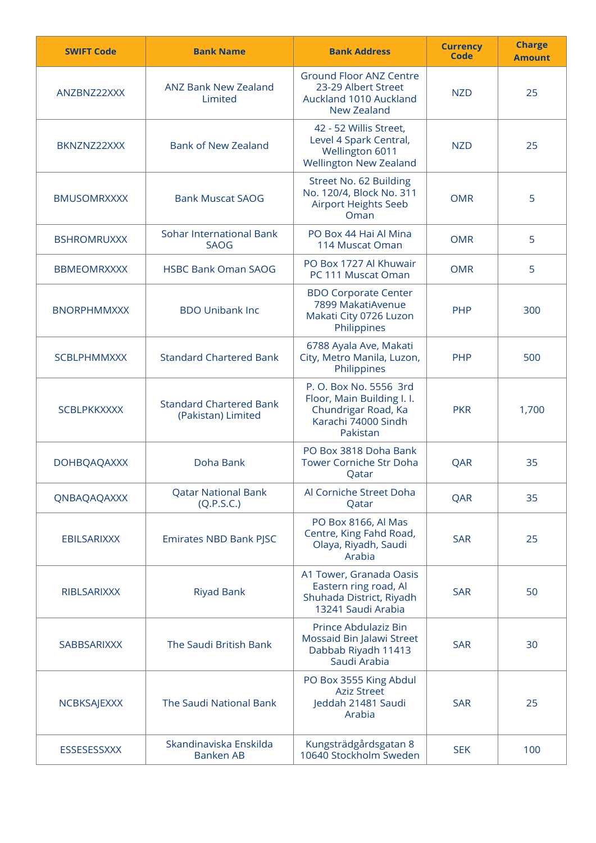| <b>SWIFT Code</b>  | <b>Bank Name</b>                                     | <b>Bank Address</b>                                                                                            | <b>Currency</b><br>Code | <b>Charge</b><br><b>Amount</b> |
|--------------------|------------------------------------------------------|----------------------------------------------------------------------------------------------------------------|-------------------------|--------------------------------|
| ANZBNZ22XXX        | <b>ANZ Bank New Zealand</b><br>Limited               | <b>Ground Floor ANZ Centre</b><br>23-29 Albert Street<br>Auckland 1010 Auckland<br>New Zealand                 | <b>NZD</b>              | 25                             |
| BKNZNZ22XXX        | <b>Bank of New Zealand</b>                           | 42 - 52 Willis Street,<br>Level 4 Spark Central,<br><b>Wellington 6011</b><br><b>Wellington New Zealand</b>    | <b>NZD</b>              | 25                             |
| <b>BMUSOMRXXXX</b> | <b>Bank Muscat SAOG</b>                              | Street No. 62 Building<br>No. 120/4, Block No. 311<br><b>Airport Heights Seeb</b><br>Oman                      | <b>OMR</b>              | 5                              |
| <b>BSHROMRUXXX</b> | <b>Sohar International Bank</b><br><b>SAOG</b>       | PO Box 44 Hai Al Mina<br>114 Muscat Oman                                                                       | <b>OMR</b>              | 5                              |
| <b>BBMEOMRXXXX</b> | <b>HSBC Bank Oman SAOG</b>                           | PO Box 1727 Al Khuwair<br>PC 111 Muscat Oman                                                                   | <b>OMR</b>              | 5                              |
| <b>BNORPHMMXXX</b> | <b>BDO Unibank Inc</b>                               | <b>BDO Corporate Center</b><br>7899 MakatiAvenue<br>Makati City 0726 Luzon<br>Philippines                      | <b>PHP</b>              | 300                            |
| <b>SCBLPHMMXXX</b> | <b>Standard Chartered Bank</b>                       | 6788 Ayala Ave, Makati<br>City, Metro Manila, Luzon,<br>Philippines                                            | <b>PHP</b>              | 500                            |
| <b>SCBLPKKXXXX</b> | <b>Standard Chartered Bank</b><br>(Pakistan) Limited | P. O. Box No. 5556 3rd<br>Floor, Main Building I. I.<br>Chundrigar Road, Ka<br>Karachi 74000 Sindh<br>Pakistan | <b>PKR</b>              | 1,700                          |
| <b>DOHBQAQAXXX</b> | Doha Bank                                            | PO Box 3818 Doha Bank<br><b>Tower Corniche Str Doha</b><br>Qatar                                               | QAR                     | 35                             |
| QNBAQAQAXXX        | <b>Qatar National Bank</b><br>(Q.P.S.C.)             | Al Corniche Street Doha<br>Qatar                                                                               | QAR                     | 35                             |
| <b>EBILSARIXXX</b> | Emirates NBD Bank PJSC                               | PO Box 8166, Al Mas<br>Centre, King Fahd Road,<br>Olaya, Riyadh, Saudi<br>Arabia                               | <b>SAR</b>              | 25                             |
| <b>RIBLSARIXXX</b> | <b>Riyad Bank</b>                                    | A1 Tower, Granada Oasis<br>Eastern ring road, Al<br>Shuhada District, Riyadh<br>13241 Saudi Arabia             | <b>SAR</b>              | 50                             |
| <b>SABBSARIXXX</b> | The Saudi British Bank                               | Prince Abdulaziz Bin<br>Mossaid Bin Jalawi Street<br>Dabbab Riyadh 11413<br>Saudi Arabia                       | <b>SAR</b>              | 30                             |
| <b>NCBKSAJEXXX</b> | The Saudi National Bank                              | PO Box 3555 King Abdul<br><b>Aziz Street</b><br>Jeddah 21481 Saudi<br>Arabia                                   | <b>SAR</b>              | 25                             |
| ESSESESSXXX        | Skandinaviska Enskilda<br><b>Banken AB</b>           | Kungsträdgårdsgatan 8<br>10640 Stockholm Sweden                                                                | <b>SEK</b>              | 100                            |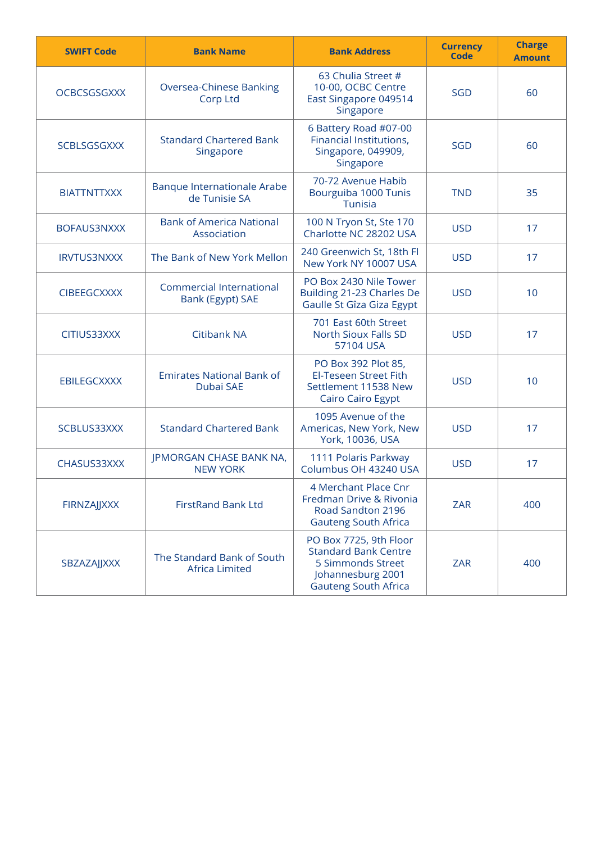| <b>SWIFT Code</b>  | <b>Bank Name</b>                                                                                                                                                                      | <b>Bank Address</b>                                                                                 | <b>Currency</b><br><b>Code</b> | <b>Charge</b><br><b>Amount</b> |
|--------------------|---------------------------------------------------------------------------------------------------------------------------------------------------------------------------------------|-----------------------------------------------------------------------------------------------------|--------------------------------|--------------------------------|
| <b>OCBCSGSGXXX</b> | <b>Oversea-Chinese Banking</b><br><b>Corp Ltd</b>                                                                                                                                     | 63 Chulia Street #<br>10-00, OCBC Centre<br>East Singapore 049514<br>Singapore                      | <b>SGD</b>                     | 60                             |
| <b>SCBLSGSGXXX</b> | <b>Standard Chartered Bank</b><br>Singapore                                                                                                                                           | 6 Battery Road #07-00<br>Financial Institutions,<br>Singapore, 049909,<br>Singapore                 | <b>SGD</b>                     | 60                             |
| <b>BIATTNTTXXX</b> | Banque Internationale Arabe<br>de Tunisie SA                                                                                                                                          | 70-72 Avenue Habib<br>Bourguiba 1000 Tunis<br>Tunisia                                               | <b>TND</b>                     | 35                             |
| <b>BOFAUS3NXXX</b> | <b>Bank of America National</b><br>Association                                                                                                                                        | 100 N Tryon St, Ste 170<br>Charlotte NC 28202 USA                                                   | <b>USD</b>                     | 17                             |
| <b>IRVTUS3NXXX</b> | The Bank of New York Mellon                                                                                                                                                           | 240 Greenwich St, 18th Fl<br>New York NY 10007 USA                                                  | <b>USD</b>                     | 17                             |
| <b>CIBEEGCXXXX</b> | <b>Commercial International</b><br>Bank (Egypt) SAE                                                                                                                                   | PO Box 2430 Nile Tower<br>Building 21-23 Charles De<br>Gaulle St Gîza Giza Egypt                    | <b>USD</b>                     | 10                             |
| CITIUS33XXX        | <b>Citibank NA</b>                                                                                                                                                                    | 701 East 60th Street<br>North Sioux Falls SD<br>57104 USA                                           |                                | 17                             |
| <b>EBILEGCXXXX</b> | <b>Emirates National Bank of</b><br>Dubai SAE                                                                                                                                         | PO Box 392 Plot 85,<br>El-Teseen Street Fith<br>Settlement 11538 New<br><b>Cairo Cairo Egypt</b>    |                                | 10                             |
| SCBLUS33XXX        | <b>Standard Chartered Bank</b>                                                                                                                                                        | 1095 Avenue of the<br>Americas, New York, New<br>York, 10036, USA                                   | <b>USD</b>                     | 17                             |
| CHASUS33XXX        | JPMORGAN CHASE BANK NA,<br><b>NEW YORK</b>                                                                                                                                            | 1111 Polaris Parkway<br>Columbus OH 43240 USA                                                       | <b>USD</b>                     | 17                             |
| FIRNZAJJXXX        | <b>FirstRand Bank Ltd</b>                                                                                                                                                             | 4 Merchant Place Cnr<br>Fredman Drive & Rivonia<br>Road Sandton 2196<br><b>Gauteng South Africa</b> | <b>ZAR</b>                     | 400                            |
| SBZAZAJJXXX        | PO Box 7725, 9th Floor<br><b>Standard Bank Centre</b><br>The Standard Bank of South<br>5 Simmonds Street<br><b>Africa Limited</b><br>Johannesburg 2001<br><b>Gauteng South Africa</b> |                                                                                                     | <b>ZAR</b>                     | 400                            |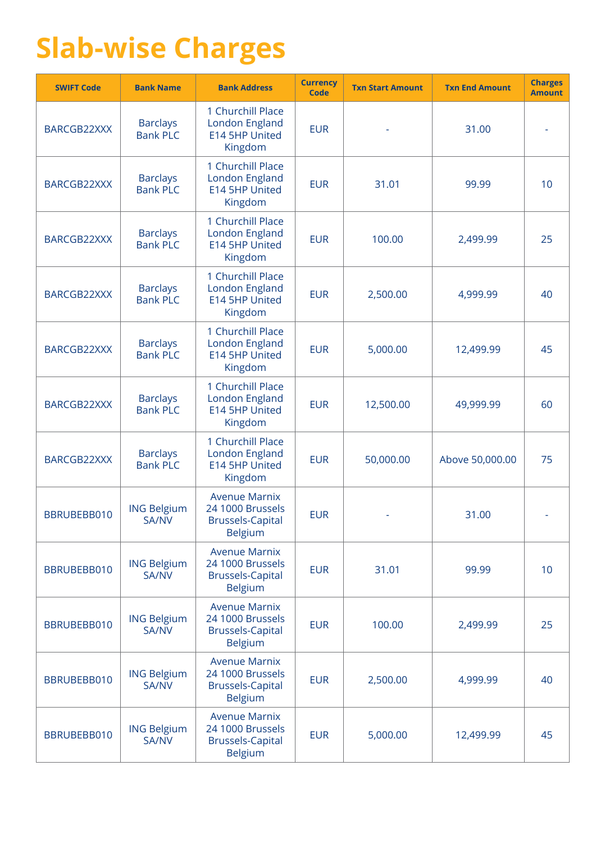## **Slab-wise Charges**

| <b>SWIFT Code</b> | <b>Bank Name</b>                   | <b>Bank Address</b>                                                                   | <b>Currency</b><br><b>Code</b> | <b>Txn Start Amount</b> | <b>Txn End Amount</b> | <b>Charges</b><br><b>Amount</b> |
|-------------------|------------------------------------|---------------------------------------------------------------------------------------|--------------------------------|-------------------------|-----------------------|---------------------------------|
| BARCGB22XXX       | <b>Barclays</b><br><b>Bank PLC</b> | 1 Churchill Place<br>London England<br>E14 5HP United<br>Kingdom                      | <b>EUR</b>                     |                         | 31.00                 |                                 |
| BARCGB22XXX       | <b>Barclays</b><br><b>Bank PLC</b> | 1 Churchill Place<br>London England<br>E14 5HP United<br>Kingdom                      | <b>EUR</b>                     | 31.01                   | 99.99                 | 10                              |
| BARCGB22XXX       | <b>Barclays</b><br><b>Bank PLC</b> | 1 Churchill Place<br>London England<br>E14 5HP United<br>Kingdom                      | <b>EUR</b>                     | 100.00                  | 2,499.99              | 25                              |
| BARCGB22XXX       | <b>Barclays</b><br><b>Bank PLC</b> | 1 Churchill Place<br>London England<br>E14 5HP United<br>Kingdom                      | <b>EUR</b>                     | 2,500.00                | 4,999.99              | 40                              |
| BARCGB22XXX       | <b>Barclays</b><br><b>Bank PLC</b> | 1 Churchill Place<br>London England<br>E14 5HP United<br>Kingdom                      | <b>EUR</b>                     | 5,000.00                | 12,499.99             | 45                              |
| BARCGB22XXX       | <b>Barclays</b><br><b>Bank PLC</b> | 1 Churchill Place<br>London England<br>E14 5HP United<br>Kingdom                      | <b>EUR</b>                     | 12,500.00               | 49,999.99             | 60                              |
| BARCGB22XXX       | <b>Barclays</b><br><b>Bank PLC</b> | 1 Churchill Place<br>London England<br>E14 5HP United<br>Kingdom                      | <b>EUR</b>                     | 50,000.00               | Above 50,000.00       | 75                              |
| BBRUBEBB010       | <b>ING Belgium</b><br><b>SA/NV</b> | <b>Avenue Marnix</b><br>24 1000 Brussels<br><b>Brussels-Capital</b><br><b>Belgium</b> | <b>EUR</b>                     |                         | 31.00                 |                                 |
| BBRUBEBB010       | <b>ING Belgium</b><br>SA/NV        | <b>Avenue Marnix</b><br>24 1000 Brussels<br><b>Brussels-Capital</b><br><b>Belgium</b> | <b>EUR</b>                     | 31.01                   | 99.99                 | 10                              |
| BBRUBEBB010       | <b>ING Belgium</b><br><b>SA/NV</b> | <b>Avenue Marnix</b><br>24 1000 Brussels<br><b>Brussels-Capital</b><br><b>Belgium</b> | <b>EUR</b>                     | 100.00                  | 2,499.99              | 25                              |
| BBRUBEBB010       | <b>ING Belgium</b><br><b>SA/NV</b> | <b>Avenue Marnix</b><br>24 1000 Brussels<br><b>Brussels-Capital</b><br><b>Belgium</b> | <b>EUR</b>                     | 2,500.00                | 4,999.99              | 40                              |
| BBRUBEBB010       | <b>ING Belgium</b><br><b>SA/NV</b> | <b>Avenue Marnix</b><br>24 1000 Brussels<br><b>Brussels-Capital</b><br><b>Belgium</b> | <b>EUR</b>                     | 5,000.00                | 12,499.99             | 45                              |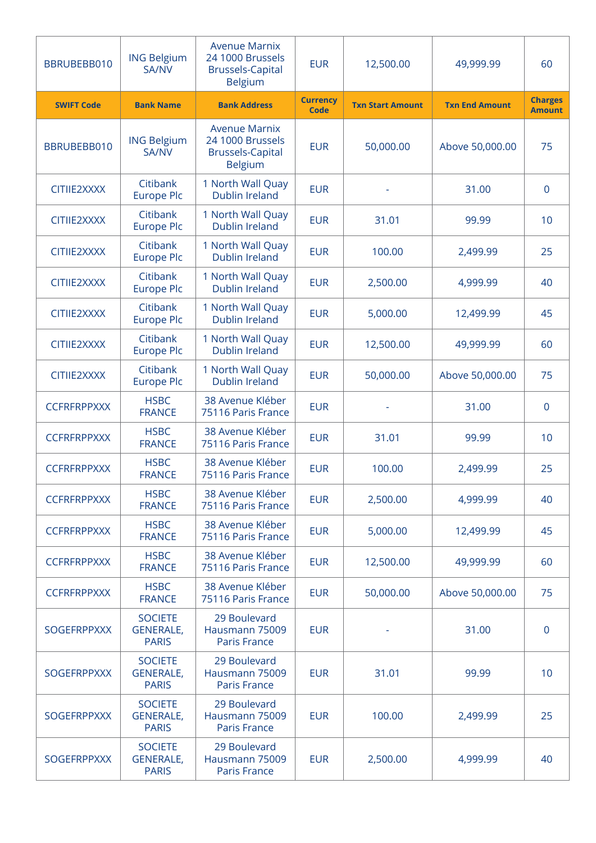| BBRUBEBB010        | <b>ING Belgium</b><br><b>SA/NV</b>                 | <b>Avenue Marnix</b><br>24 1000 Brussels<br><b>Brussels-Capital</b><br><b>Belgium</b> | <b>EUR</b>              | 12,500.00               | 49,999.99             | 60                              |
|--------------------|----------------------------------------------------|---------------------------------------------------------------------------------------|-------------------------|-------------------------|-----------------------|---------------------------------|
| <b>SWIFT Code</b>  | <b>Bank Name</b>                                   | <b>Bank Address</b>                                                                   | <b>Currency</b><br>Code | <b>Txn Start Amount</b> | <b>Txn End Amount</b> | <b>Charges</b><br><b>Amount</b> |
| BBRUBEBB010        | <b>ING Belgium</b><br><b>SA/NV</b>                 | <b>Avenue Marnix</b><br>24 1000 Brussels<br><b>Brussels-Capital</b><br><b>Belgium</b> | <b>EUR</b>              | 50,000.00               | Above 50,000.00       | 75                              |
| CITIIE2XXXX        | Citibank<br><b>Europe Plc</b>                      | 1 North Wall Quay<br><b>Dublin Ireland</b>                                            | <b>EUR</b>              |                         | 31.00                 | 0                               |
| CITIIE2XXXX        | Citibank<br><b>Europe Plc</b>                      | 1 North Wall Quay<br>Dublin Ireland                                                   | <b>EUR</b>              | 31.01                   | 99.99                 | 10                              |
| CITIIE2XXXX        | Citibank<br><b>Europe Plc</b>                      | 1 North Wall Quay<br><b>Dublin Ireland</b>                                            | <b>EUR</b>              | 100.00                  | 2,499.99              | 25                              |
| CITIIE2XXXX        | Citibank<br><b>Europe Plc</b>                      | 1 North Wall Quay<br>Dublin Ireland                                                   | <b>EUR</b>              | 2,500.00                | 4,999.99              | 40                              |
| CITIIE2XXXX        | Citibank<br><b>Europe Plc</b>                      | 1 North Wall Quay<br>Dublin Ireland                                                   | <b>EUR</b>              | 5,000.00                | 12,499.99             | 45                              |
| CITIIE2XXXX        | Citibank<br><b>Europe Plc</b>                      | 1 North Wall Quay<br><b>Dublin Ireland</b>                                            | <b>EUR</b>              | 12,500.00               | 49,999.99             | 60                              |
| CITIIE2XXXX        | Citibank<br><b>Europe Plc</b>                      | 1 North Wall Quay<br>Dublin Ireland                                                   | <b>EUR</b>              | 50,000.00               | Above 50,000.00       | 75                              |
| <b>CCFRFRPPXXX</b> | <b>HSBC</b><br><b>FRANCE</b>                       | 38 Avenue Kléber<br>75116 Paris France                                                | <b>EUR</b>              |                         | 31.00                 | 0                               |
| <b>CCFRFRPPXXX</b> | <b>HSBC</b><br><b>FRANCE</b>                       | 38 Avenue Kléber<br>75116 Paris France                                                | <b>EUR</b>              | 31.01                   | 99.99                 | 10                              |
| <b>CCFRFRPPXXX</b> | <b>HSBC</b><br><b>FRANCE</b>                       | 38 Avenue Kléber<br>75116 Paris France                                                | <b>EUR</b>              | 100.00                  | 2,499.99              | 25                              |
| <b>CCFRFRPPXXX</b> | <b>HSBC</b><br><b>FRANCE</b>                       | 38 Avenue Kléber<br>75116 Paris France                                                | <b>EUR</b>              | 2,500.00                | 4,999.99              | 40                              |
| <b>CCFRFRPPXXX</b> | <b>HSBC</b><br><b>FRANCE</b>                       | 38 Avenue Kléber<br>75116 Paris France                                                | <b>EUR</b>              | 5,000.00                | 12,499.99             | 45                              |
| <b>CCFRFRPPXXX</b> | <b>HSBC</b><br><b>FRANCE</b>                       | 38 Avenue Kléber<br>75116 Paris France                                                | <b>EUR</b>              | 12,500.00               | 49,999.99             | 60                              |
| <b>CCFRFRPPXXX</b> | <b>HSBC</b><br><b>FRANCE</b>                       | 38 Avenue Kléber<br>75116 Paris France                                                | <b>EUR</b>              | 50,000.00               | Above 50,000.00       | 75                              |
| <b>SOGEFRPPXXX</b> | <b>SOCIETE</b><br><b>GENERALE,</b><br><b>PARIS</b> | 29 Boulevard<br>Hausmann 75009<br><b>Paris France</b>                                 | <b>EUR</b>              |                         | 31.00                 | $\mathbf 0$                     |
| <b>SOGEFRPPXXX</b> | <b>SOCIETE</b><br><b>GENERALE,</b><br><b>PARIS</b> | 29 Boulevard<br>Hausmann 75009<br><b>Paris France</b>                                 | <b>EUR</b>              | 31.01                   | 99.99                 | 10                              |
| <b>SOGEFRPPXXX</b> | <b>SOCIETE</b><br><b>GENERALE,</b><br><b>PARIS</b> | 29 Boulevard<br>Hausmann 75009<br><b>Paris France</b>                                 | <b>EUR</b>              | 100.00                  | 2,499.99              | 25                              |
| <b>SOGEFRPPXXX</b> | <b>SOCIETE</b><br><b>GENERALE,</b><br><b>PARIS</b> | 29 Boulevard<br>Hausmann 75009<br>Paris France                                        | <b>EUR</b>              | 2,500.00                | 4,999.99              | 40                              |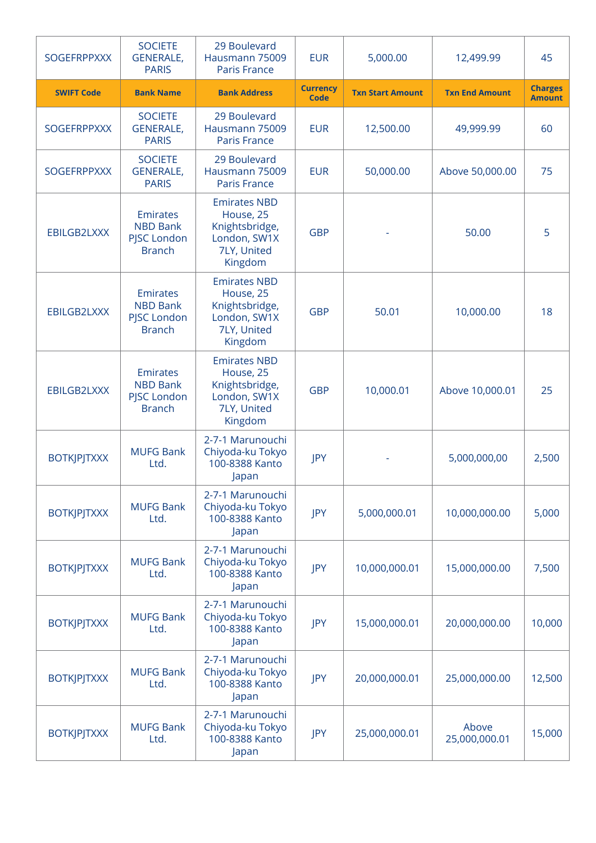| <b>SOGEFRPPXXX</b> | <b>SOCIETE</b><br><b>GENERALE,</b><br><b>PARIS</b>                 | 29 Boulevard<br>Hausmann 75009<br><b>Paris France</b>                                        | <b>EUR</b>                     | 5,000.00                | 12,499.99              | 45                              |
|--------------------|--------------------------------------------------------------------|----------------------------------------------------------------------------------------------|--------------------------------|-------------------------|------------------------|---------------------------------|
| <b>SWIFT Code</b>  | <b>Bank Name</b>                                                   | <b>Bank Address</b>                                                                          | <b>Currency</b><br><b>Code</b> | <b>Txn Start Amount</b> | <b>Txn End Amount</b>  | <b>Charges</b><br><b>Amount</b> |
| <b>SOGEFRPPXXX</b> | <b>SOCIETE</b><br><b>GENERALE,</b><br><b>PARIS</b>                 | 29 Boulevard<br>Hausmann 75009<br>Paris France                                               | <b>EUR</b>                     | 12,500.00               | 49,999.99              | 60                              |
| <b>SOGEFRPPXXX</b> | <b>SOCIETE</b><br><b>GENERALE,</b><br><b>PARIS</b>                 | 29 Boulevard<br>Hausmann 75009<br><b>Paris France</b>                                        | <b>EUR</b>                     | 50,000.00               | Above 50,000.00        | 75                              |
| EBILGB2LXXX        | <b>Emirates</b><br><b>NBD Bank</b><br>PJSC London<br><b>Branch</b> | <b>Emirates NBD</b><br>House, 25<br>Knightsbridge,<br>London, SW1X<br>7LY, United<br>Kingdom | <b>GBP</b>                     |                         | 50.00                  | 5                               |
| EBILGB2LXXX        | <b>Emirates</b><br><b>NBD Bank</b><br>PJSC London<br><b>Branch</b> | <b>Emirates NBD</b><br>House, 25<br>Knightsbridge,<br>London, SW1X<br>7LY, United<br>Kingdom | <b>GBP</b>                     | 50.01                   | 10,000.00              | 18                              |
| EBILGB2LXXX        | <b>Emirates</b><br><b>NBD Bank</b><br>PJSC London<br><b>Branch</b> | <b>Emirates NBD</b><br>House, 25<br>Knightsbridge,<br>London, SW1X<br>7LY, United<br>Kingdom | <b>GBP</b>                     | 10,000.01               | Above 10,000.01        | 25                              |
| <b>BOTKJPJTXXX</b> | <b>MUFG Bank</b><br>Ltd.                                           | 2-7-1 Marunouchi<br>Chiyoda-ku Tokyo<br>100-8388 Kanto<br>Japan                              | JPY                            |                         | 5,000,000,00           | 2,500                           |
| <b>BOTKJPJTXXX</b> | <b>MUFG Bank</b><br>Ltd.                                           | 2-7-1 Marunouchi<br>Chiyoda-ku Tokyo<br>100-8388 Kanto<br>Japan                              | JPY                            | 5,000,000.01            | 10,000,000.00          | 5,000                           |
| <b>BOTKJPJTXXX</b> | <b>MUFG Bank</b><br>Ltd.                                           | 2-7-1 Marunouchi<br>Chiyoda-ku Tokyo<br>100-8388 Kanto<br>Japan                              | JPY                            | 10,000,000.01           | 15,000,000.00          | 7,500                           |
| <b>BOTKJPJTXXX</b> | <b>MUFG Bank</b><br>Ltd.                                           | 2-7-1 Marunouchi<br>Chiyoda-ku Tokyo<br>100-8388 Kanto<br>Japan                              | JPY                            | 15,000,000.01           | 20,000,000.00          | 10,000                          |
| <b>BOTKJPJTXXX</b> | <b>MUFG Bank</b><br>Ltd.                                           | 2-7-1 Marunouchi<br>Chiyoda-ku Tokyo<br>100-8388 Kanto<br>Japan                              | JPY                            | 20,000,000.01           | 25,000,000.00          | 12,500                          |
| <b>BOTKJPJTXXX</b> | <b>MUFG Bank</b><br>Ltd.                                           | 2-7-1 Marunouchi<br>Chiyoda-ku Tokyo<br>100-8388 Kanto<br>Japan                              | JPY                            | 25,000,000.01           | Above<br>25,000,000.01 | 15,000                          |